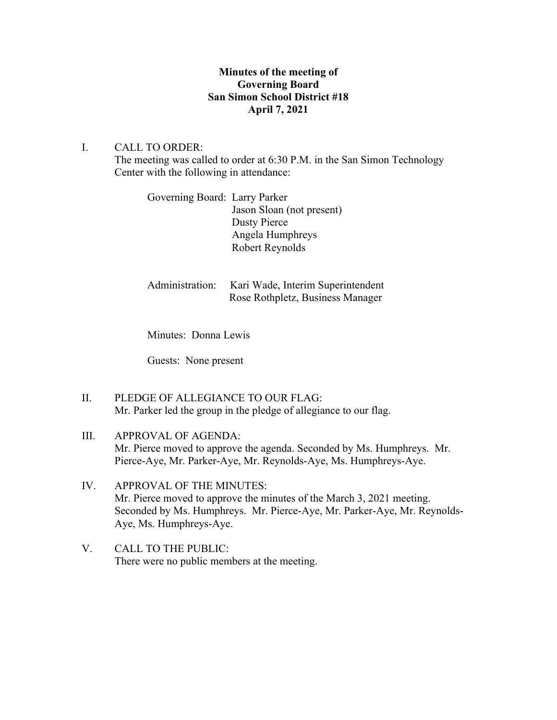## **Minutes of the meeting of Governing Board San Simon School District #18 April 7, 2021**

## I. CALL TO ORDER:

The meeting was called to order at 6:30 P.M. in the San Simon Technology Center with the following in attendance:

Governing Board: Larry Parker Jason Sloan (not present) Dusty Pierce Angela Humphreys Robert Reynolds

| Administration: Kari Wade, Interim Superintendent |
|---------------------------------------------------|
| Rose Rothpletz, Business Manager                  |

Minutes: Donna Lewis

Guests: None present

II. PLEDGE OF ALLEGIANCE TO OUR FLAG: Mr. Parker led the group in the pledge of allegiance to our flag.

# III. APPROVAL OF AGENDA: Mr. Pierce moved to approve the agenda. Seconded by Ms. Humphreys. Mr. Pierce-Aye, Mr. Parker-Aye, Mr. Reynolds-Aye, Ms. Humphreys-Aye.

## IV. APPROVAL OF THE MINUTES: Mr. Pierce moved to approve the minutes of the March 3, 2021 meeting. Seconded by Ms. Humphreys. Mr. Pierce-Aye, Mr. Parker-Aye, Mr. Reynolds-Aye, Ms. Humphreys-Aye.

V. CALL TO THE PUBLIC: There were no public members at the meeting.